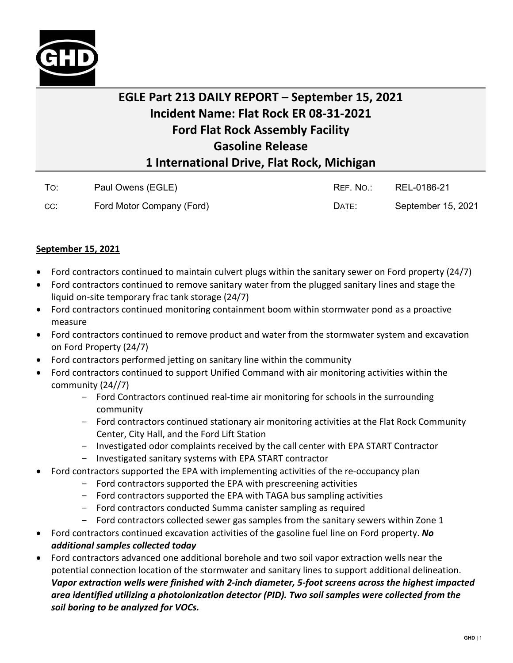

## **EGLE Part 213 DAILY REPORT – September 15, 2021 Incident Name: Flat Rock ER 08-31-2021 Ford Flat Rock Assembly Facility Gasoline Release 1 International Drive, Flat Rock, Michigan**

| To: | Paul Owens (EGLE)         | REF. NO.: | REL-0186-21        |
|-----|---------------------------|-----------|--------------------|
| CC: | Ford Motor Company (Ford) | DATE:     | September 15, 2021 |

## **September 15, 2021**

- Ford contractors continued to maintain culvert plugs within the sanitary sewer on Ford property (24/7)
- Ford contractors continued to remove sanitary water from the plugged sanitary lines and stage the liquid on-site temporary frac tank storage (24/7)
- Ford contractors continued monitoring containment boom within stormwater pond as a proactive measure
- Ford contractors continued to remove product and water from the stormwater system and excavation on Ford Property (24/7)
- Ford contractors performed jetting on sanitary line within the community
- Ford contractors continued to support Unified Command with air monitoring activities within the community (24//7)
	- Ford Contractors continued real-time air monitoring for schools in the surrounding community
	- Ford contractors continued stationary air monitoring activities at the Flat Rock Community Center, City Hall, and the Ford Lift Station
	- Investigated odor complaints received by the call center with EPA START Contractor
	- Investigated sanitary systems with EPA START contractor
- Ford contractors supported the EPA with implementing activities of the re-occupancy plan
	- Ford contractors supported the EPA with prescreening activities
	- Ford contractors supported the EPA with TAGA bus sampling activities
	- Ford contractors conducted Summa canister sampling as required
	- Ford contractors collected sewer gas samples from the sanitary sewers within Zone 1
- Ford contractors continued excavation activities of the gasoline fuel line on Ford property. *No additional samples collected today*
- Ford contractors advanced one additional borehole and two soil vapor extraction wells near the potential connection location of the stormwater and sanitary lines to support additional delineation. *Vapor extraction wells were finished with 2-inch diameter, 5-foot screens across the highest impacted area identified utilizing a photoionization detector (PID). Two soil samples were collected from the soil boring to be analyzed for VOCs.*